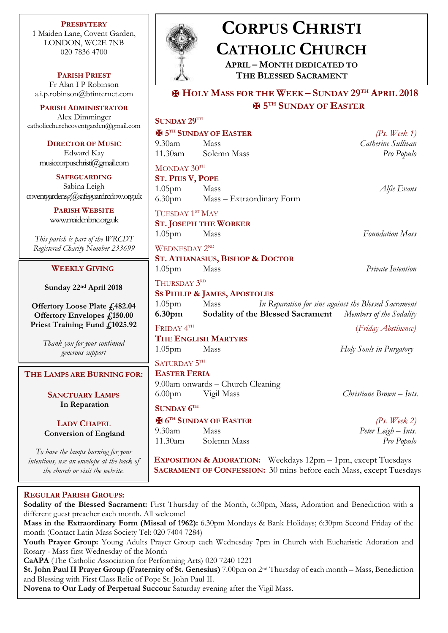**PRESBYTERY** 1 Maiden Lane, Covent Garden, LONDON, WC2E 7NB 020 7836 4700

**PARISH PRIEST** Fr Alan I P Robinson [a.i.p.robinson@btinternet.com](mailto:a.i.p.robinson@btinternet.com)

**PARISH ADMINISTRATOR** Alex Dimminger catholicchurchcoventgarden $@g$ 

> **DIRECTOR OF MUS** Edward Kay  $m$ usiccorpuschristi $@$ gmai

**SAFEGUARDING** Sabina Leigh  $cover the ardensg@safeguardred$ 

> **PARISH WEBSITE** www.maidenlane.org.u

*This parish is part of the W Registered Charity Number 2* 

### **WEEKLY GIVING**

Sunday 22<sup>nd</sup> April 20

**Offertory Loose Plate Offertory Envelopes**  $f_i$ **. Priest Training Fund £1** 

> *Thank you for your contin generous support*

 $$ 

**SANCTUARY LAMP In Reparation**

**LADY CHAPEL Conversion of England** 

*To have the lamps burning for your respect to bave the lamps burning for*  $\theta$ *intentions, use an envelope at the the church or visit the website.*

**SACRAMENT OF CONFESSION:** 30 mins before each Mass, except Tuesdays

#### **REGULAR PARISH GROUPS:**

**Sodality of the Blessed Sacrament:** First Thursday of the Month, 6:30pm, Mass, Adoration and Benediction with a different guest preacher each month. All welcome!

**Mass in the Extraordinary Form (Missal of 1962):** 6.30pm Mondays & Bank Holidays; 6:30pm Second Friday of the month (Contact Latin Mass Society Tel: 020 7404 7284)

**Youth Prayer Group:** Young Adults Prayer Group each Wednesday 7pm in Church with Eucharistic Adoration and Rosary - Mass first Wednesday of the Month

**CaAPA** (The Catholic Association for Performing Arts) 020 7240 1221

**St. John Paul II Prayer Group (Fraternity of St. Genesius)** 7.00pm on 2nd Thursday of each month – Mass, Benediction and Blessing with First Class Relic of Pope St. John Paul II.

**Novena to Our Lady of Perpetual Succour** Saturday evening after the Vigil Mass.



# **CORPUS CHRISTI CATHOLIC CHURCH**

**APRIL – MONTH DEDICATED TO THE BLESSED SACRAMENT**

## ✠ **HOLY MASS FOR THE WEEK – SUNDAY 29TH APRIL 2018** ✠ **5 TH SUNDAY OF EASTER**

| gmail.com                             | SUNDAY 29TH                                                                                                                                                                     |                                           |                          |
|---------------------------------------|---------------------------------------------------------------------------------------------------------------------------------------------------------------------------------|-------------------------------------------|--------------------------|
|                                       | <b>H</b> 5 <sup>TH</sup> SUNDAY OF EASTER<br>(Ps. Week $1$ )                                                                                                                    |                                           |                          |
| IC                                    | $9.30$ am                                                                                                                                                                       | Mass                                      | Catherine Sullivan       |
|                                       | 11.30am                                                                                                                                                                         | Solemn Mass                               | Pro Populo               |
| l.com                                 | MONDAY $30^{\text{TH}}$                                                                                                                                                         |                                           |                          |
|                                       | <b>ST. PIUS V, POPE</b>                                                                                                                                                         |                                           |                          |
| low.org.uk                            | 1.05 <sub>pm</sub>                                                                                                                                                              | Mass                                      | Alfie Evans              |
|                                       | 6.30 <sub>pm</sub>                                                                                                                                                              | Mass – Extraordinary Form                 |                          |
| ık                                    | TUESDAY 1ST MAY                                                                                                                                                                 |                                           |                          |
|                                       | <b>ST. JOSEPH THE WORKER</b>                                                                                                                                                    |                                           |                          |
|                                       | 1.05 <sub>pm</sub>                                                                                                                                                              | Mass                                      | <b>Foundation Mass</b>   |
| RCDT<br>233699                        | <b>WEDNESDAY 2ND</b>                                                                                                                                                            |                                           |                          |
|                                       | <b>ST. ATHANASIUS, BISHOP &amp; DOCTOR</b>                                                                                                                                      |                                           |                          |
|                                       | 1.05 <sub>pm</sub>                                                                                                                                                              | Mass                                      | Private Intention        |
|                                       |                                                                                                                                                                                 |                                           |                          |
| )18<br>482.04                         | THURSDAY 3RD                                                                                                                                                                    |                                           |                          |
|                                       | <b>SS PHILIP &amp; JAMES, APOSTOLES</b>                                                                                                                                         |                                           |                          |
|                                       | Mass<br>In Reparation for sins against the Blessed Sacrament<br>1.05 <sub>pm</sub><br><b>Sodality of the Blessed Sacrament</b><br>Members of the Sodality<br>6.30 <sub>pm</sub> |                                           |                          |
| 150.00<br>1025.92                     |                                                                                                                                                                                 |                                           |                          |
|                                       | FRIDAY <sup>4TH</sup>                                                                                                                                                           |                                           | (Friday Abstinence)      |
| wed                                   | <b>THE ENGLISH MARTYRS</b>                                                                                                                                                      |                                           |                          |
|                                       | 1.05 <sub>pm</sub>                                                                                                                                                              | Mass                                      | Holy Souls in Purgatory  |
|                                       | SATURDAY 5TH                                                                                                                                                                    |                                           |                          |
| <b>EASTER FERIA</b><br><b>NG FOR:</b> |                                                                                                                                                                                 |                                           |                          |
|                                       | 9.00am onwards - Church Cleaning                                                                                                                                                |                                           |                          |
| PS                                    | 6.00 <sub>pm</sub>                                                                                                                                                              | Vigil Mass                                | Christiane Brown – Ints. |
|                                       | SUNDAY 6TH                                                                                                                                                                      |                                           |                          |
| and                                   |                                                                                                                                                                                 | <b>H</b> 6 <sup>TH</sup> SUNDAY OF EASTER | (Ps. Week 2)             |
|                                       | $9.30$ am                                                                                                                                                                       | Mass                                      | Peter Leigh - Ints.      |
|                                       |                                                                                                                                                                                 | 11.30am Solemn Mass                       | Pro Populo               |
| or your                               |                                                                                                                                                                                 |                                           |                          |
| be back of                            | EXPOSITION & ADORATION: Weekdays 12pm - 1pm, except Tuesdays                                                                                                                    |                                           |                          |